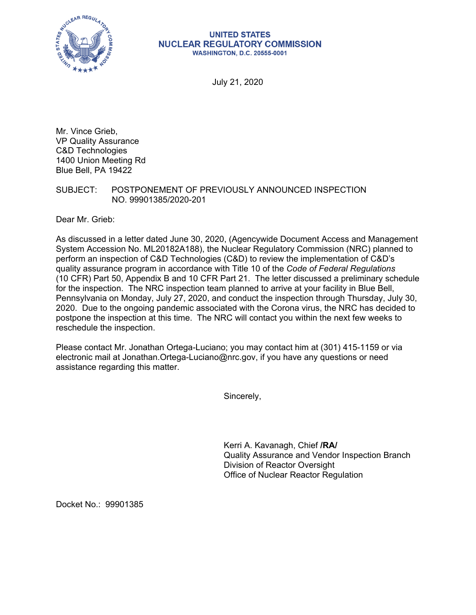

## **UNITED STATES NUCLEAR REGULATORY COMMISSION WASHINGTON, D.C. 20555-0001**

July 21, 2020

Mr. Vince Grieb, VP Quality Assurance C&D Technologies 1400 Union Meeting Rd Blue Bell, PA 19422

## SUBJECT: POSTPONEMENT OF PREVIOUSLY ANNOUNCED INSPECTION NO. 99901385/2020-201

Dear Mr. Grieb:

As discussed in a letter dated June 30, 2020, (Agencywide Document Access and Management System Accession No. ML20182A188), the Nuclear Regulatory Commission (NRC) planned to perform an inspection of C&D Technologies (C&D) to review the implementation of C&D's quality assurance program in accordance with Title 10 of the *Code of Federal Regulations*  (10 CFR) Part 50, Appendix B and 10 CFR Part 21. The letter discussed a preliminary schedule for the inspection. The NRC inspection team planned to arrive at your facility in Blue Bell, Pennsylvania on Monday, July 27, 2020, and conduct the inspection through Thursday, July 30, 2020. Due to the ongoing pandemic associated with the Corona virus, the NRC has decided to postpone the inspection at this time. The NRC will contact you within the next few weeks to reschedule the inspection.

Please contact Mr. Jonathan Ortega-Luciano; you may contact him at (301) 415-1159 or via electronic mail at Jonathan.Ortega-Luciano@nrc.gov, if you have any questions or need assistance regarding this matter.

Sincerely,

Kerri A. Kavanagh, Chief **/RA/**  Quality Assurance and Vendor Inspection Branch Division of Reactor Oversight Office of Nuclear Reactor Regulation

Docket No.: 99901385